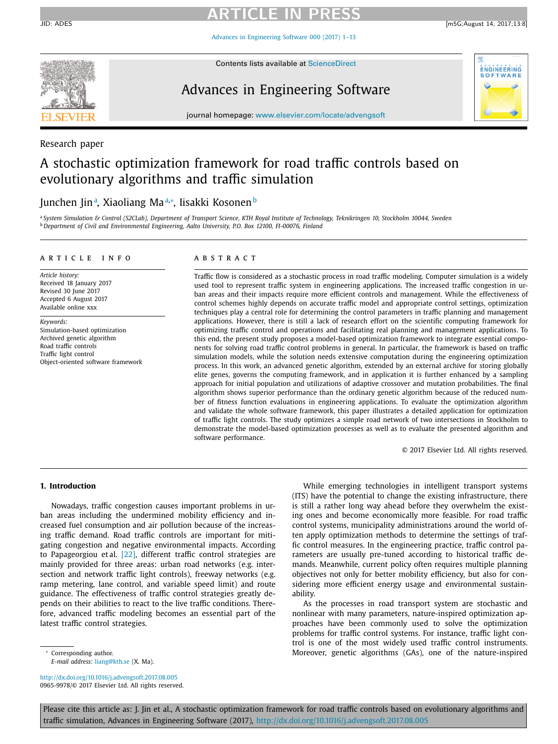## **ARTICLE IN PRESS**

Advances in [Engineering](http://dx.doi.org/10.1016/j.advengsoft.2017.08.005) Software 000 (2017) 1–13



Contents lists available at [ScienceDirect](http://www.ScienceDirect.com)

### Advances in Engineering Software



journal homepage: [www.elsevier.com/locate/advengsoft](http://www.elsevier.com/locate/advengsoft)

#### Research paper

### A stochastic optimization framework for road traffic controls based on evolutionary algorithms and traffic simulation

### Junchen Jinª, Xiaoliang Maª∗, Iisakki Kosonen<sup>b</sup>

a System Simulation & Control (S2CLab), Department of Transport Science, KTH Royal Institute of Technology, Teknikringen 10, Stockholm 10044, Sweden <sup>b</sup> *Department of Civil and Environmental Engineering, Aalto University, P.O. Box 12100, FI-00076, Finland*

#### a r t i c l e i n f o

*Article history:* Received 18 January 2017 Revised 30 June 2017 Accepted 6 August 2017 Available online xxx

*Keywords:*

Simulation-based optimization Archived genetic algorithm Road traffic controls Traffic light control Object-oriented software framework

#### A B S T R A C T

Traffic flow is considered as a stochastic process in road traffic modeling. Computer simulation is a widely used tool to represent traffic system in engineering applications. The increased traffic congestion in urban areas and their impacts require more efficient controls and management. While the effectiveness of control schemes highly depends on accurate traffic model and appropriate control settings, optimization techniques play a central role for determining the control parameters in traffic planning and management applications. However, there is still a lack of research effort on the scientific computing framework for optimizing traffic control and operations and facilitating real planning and management applications. To this end, the present study proposes a model-based optimization framework to integrate essential components for solving road traffic control problems in general. In particular, the framework is based on traffic simulation models, while the solution needs extensive computation during the engineering optimization process. In this work, an advanced genetic algorithm, extended by an external archive for storing globally elite genes, governs the computing framework, and in application it is further enhanced by a sampling approach for initial population and utilizations of adaptive crossover and mutation probabilities. The final algorithm shows superior performance than the ordinary genetic algorithm because of the reduced number of fitness function evaluations in engineering applications. To evaluate the optimization algorithm and validate the whole software framework, this paper illustrates a detailed application for optimization of traffic light controls. The study optimizes a simple road network of two intersections in Stockholm to demonstrate the model-based optimization processes as well as to evaluate the presented algorithm and software performance.

© 2017 Elsevier Ltd. All rights reserved.

#### **1. Introduction**

Nowadays, traffic congestion causes important problems in urban areas including the undermined mobility efficiency and increased fuel consumption and air pollution because of the increasing traffic demand. Road traffic controls are important for mitigating congestion and negative environmental impacts. According to Papageorgiou et al. [\[22\],](#page--1-0) different traffic control strategies are mainly provided for three areas: urban road networks (e.g. intersection and network traffic light controls), freeway networks (e.g. ramp metering, lane control, and variable speed limit) and route guidance. The effectiveness of traffic control strategies greatly depends on their abilities to react to the live traffic conditions. Therefore, advanced traffic modeling becomes an essential part of the latest traffic control strategies.

While emerging technologies in intelligent transport systems (ITS) have the potential to change the existing infrastructure, there is still a rather long way ahead before they overwhelm the existing ones and become economically more feasible. For road traffic control systems, municipality administrations around the world often apply optimization methods to determine the settings of traffic control measures. In the engineering practice, traffic control parameters are usually pre-tuned according to historical traffic demands. Meanwhile, current policy often requires multiple planning objectives not only for better mobility efficiency, but also for considering more efficient energy usage and environmental sustainability.

As the processes in road transport system are stochastic and nonlinear with many parameters, nature-inspired optimization approaches have been commonly used to solve the optimization problems for traffic control systems. For instance, traffic light control is one of the most widely used traffic control instruments. Moreover, genetic algorithms (GAs), one of the nature-inspired

Corresponding author. *E-mail address:* [liang@kth.se](mailto:liang@kth.se) (X. Ma).

<http://dx.doi.org/10.1016/j.advengsoft.2017.08.005> 0965-9978/© 2017 Elsevier Ltd. All rights reserved.

Please cite this article as: J. Jin et al., A stochastic optimization framework for road traffic controls based on evolutionary algorithms and traffic simulation, Advances in Engineering Software (2017), <http://dx.doi.org/10.1016/j.advengsoft.2017.08.005>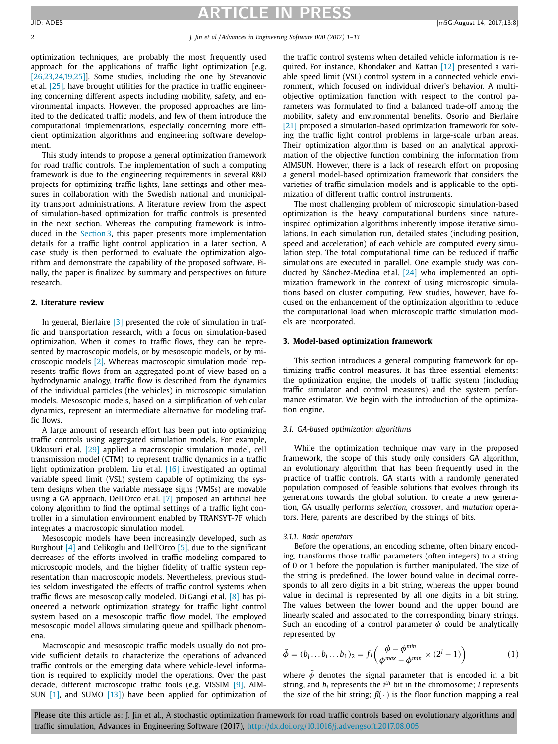### **ARTICLE IN PRESS**

optimization techniques, are probably the most frequently used approach for the applications of traffic light optimization [e.g. [\[26,23,24,19,25\]\]](#page--1-0). Some studies, including the one by Stevanovic et al. [\[25\],](#page--1-0) have brought utilities for the practice in traffic engineering concerning different aspects including mobility, safety, and environmental impacts. However, the proposed approaches are limited to the dedicated traffic models, and few of them introduce the computational implementations, especially concerning more efficient optimization algorithms and engineering software development.

This study intends to propose a general optimization framework for road traffic controls. The implementation of such a computing framework is due to the engineering requirements in several R&D projects for optimizing traffic lights, lane settings and other measures in collaboration with the Swedish national and municipality transport administrations. A literature review from the aspect of simulation-based optimization for traffic controls is presented in the next section. Whereas the computing framework is introduced in the Section 3, this paper presents more implementation details for a traffic light control application in a later section. A case study is then performed to evaluate the optimization algorithm and demonstrate the capability of the proposed software. Finally, the paper is finalized by summary and perspectives on future research.

#### **2. Literature review**

In general, Bierlaire [\[3\]](#page--1-0) presented the role of simulation in traffic and transportation research, with a focus on simulation-based optimization. When it comes to traffic flows, they can be represented by macroscopic models, or by mesoscopic models, or by microscopic models [\[2\].](#page--1-0) Whereas macroscopic simulation model represents traffic flows from an aggregated point of view based on a hydrodynamic analogy, traffic flow is described from the dynamics of the individual particles (the vehicles) in microscopic simulation models. Mesoscopic models, based on a simplification of vehicular dynamics, represent an intermediate alternative for modeling traffic flows.

A large amount of research effort has been put into optimizing traffic controls using aggregated simulation models. For example, Ukkusuri et al. [\[29\]](#page--1-0) applied a macroscopic simulation model, cell transmission model (CTM), to represent traffic dynamics in a traffic light optimization problem. Liu et al. [\[16\]](#page--1-0) investigated an optimal variable speed limit (VSL) system capable of optimizing the system designs when the variable message signs (VMSs) are movable using a GA approach. Dell'Orco et al. [\[7\]](#page--1-0) proposed an artificial bee colony algorithm to find the optimal settings of a traffic light controller in a simulation environment enabled by TRANSYT-7F which integrates a macroscopic simulation model.

Mesoscopic models have been increasingly developed, such as Burghout [\[4\]](#page--1-0) and Celikoglu and Dell'Orco [\[5\],](#page--1-0) due to the significant decreases of the efforts involved in traffic modeling compared to microscopic models, and the higher fidelity of traffic system representation than macroscopic models. Nevertheless, previous studies seldom investigated the effects of traffic control systems when traffic flows are mesoscopically modeled. Di Gangi et al. [\[8\]](#page--1-0) has pioneered a network optimization strategy for traffic light control system based on a mesoscopic traffic flow model. The employed mesoscopic model allows simulating queue and spillback phenomena.

Macroscopic and mesoscopic traffic models usually do not provide sufficient details to characterize the operations of advanced traffic controls or the emerging data where vehicle-level information is required to explicitly model the operations. Over the past decade, different microscopic traffic tools (e.g. VISSIM [\[9\],](#page--1-0) AIM-SUN  $[1]$ , and SUMO  $[13]$ ) have been applied for optimization of the traffic control systems when detailed vehicle information is required. For instance, Khondaker and Kattan [\[12\]](#page--1-0) presented a variable speed limit (VSL) control system in a connected vehicle environment, which focused on individual driver's behavior. A multiobjective optimization function with respect to the control parameters was formulated to find a balanced trade-off among the mobility, safety and environmental benefits. Osorio and Bierlaire [\[21\]](#page--1-0) proposed a simulation-based optimization framework for solving the traffic light control problems in large-scale urban areas. Their optimization algorithm is based on an analytical approximation of the objective function combining the information from AIMSUN. However, there is a lack of research effort on proposing a general model-based optimization framework that considers the varieties of traffic simulation models and is applicable to the optimization of different traffic control instruments.

The most challenging problem of microscopic simulation-based optimization is the heavy computational burdens since natureinspired optimization algorithms inherently impose iterative simulations. In each simulation run, detailed states (including position, speed and acceleration) of each vehicle are computed every simulation step. The total computational time can be reduced if traffic simulations are executed in parallel. One example study was conducted by Sánchez-Medina et al. [\[24\]](#page--1-0) who implemented an optimization framework in the context of using microscopic simulations based on cluster computing. Few studies, however, have focused on the enhancement of the optimization algorithm to reduce the computational load when microscopic traffic simulation models are incorporated.

#### **3. Model-based optimization framework**

This section introduces a general computing framework for optimizing traffic control measures. It has three essential elements: the optimization engine, the models of traffic system (including traffic simulator and control measures) and the system performance estimator. We begin with the introduction of the optimization engine.

#### *3.1. GA-based optimization algorithms*

While the optimization technique may vary in the proposed framework, the scope of this study only considers GA algorithm, an evolutionary algorithm that has been frequently used in the practice of traffic controls. GA starts with a randomly generated population composed of feasible solutions that evolves through its generations towards the global solution. To create a new generation, GA usually performs *selection, crossover*, and *mutation* operators. Here, parents are described by the strings of bits.

#### *3.1.1. Basic operators*

Before the operations, an encoding scheme, often binary encoding, transforms those traffic parameters (often integers) to a string of 0 or 1 before the population is further manipulated. The size of the string is predefined. The lower bound value in decimal corresponds to all zero digits in a bit string, whereas the upper bound value in decimal is represented by all one digits in a bit string. The values between the lower bound and the upper bound are linearly scaled and associated to the corresponding binary strings. Such an encoding of a control parameter  $\phi$  could be analytically represented by

$$
\tilde{\phi} = (b_1 \dots b_i \dots b_1)_2 = fl\left(\frac{\phi - \phi^{\min}}{\phi^{\max} - \phi^{\min}} \times (2^l - 1)\right)
$$
 (1)

where  $\tilde{\phi}$  denotes the signal parameter that is encoded in a bit string, and  $b_i$  represents the  $i<sup>th</sup>$  bit in the chromosome; *l* represents the size of the bit string;  $fl(\cdot)$  is the floor function mapping a real

Please cite this article as: J. Jin et al., A stochastic optimization framework for road traffic controls based on evolutionary algorithms and traffic simulation, Advances in Engineering Software (2017), <http://dx.doi.org/10.1016/j.advengsoft.2017.08.005>